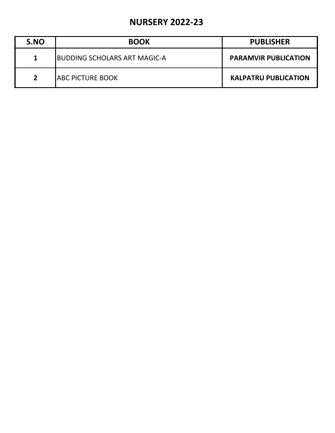## **NURSERY 2022-23**

| S.NO        | <b>BOOK</b>                          | <b>PUBLISHER</b>            |
|-------------|--------------------------------------|-----------------------------|
| 1           | <b>IBUDDING SCHOLARS ART MAGIC-A</b> | <b>PARAMVIR PUBLICATION</b> |
| $2^{\circ}$ | <b>ABC PICTURE BOOK</b>              | <b>KALPATRU PUBLICATION</b> |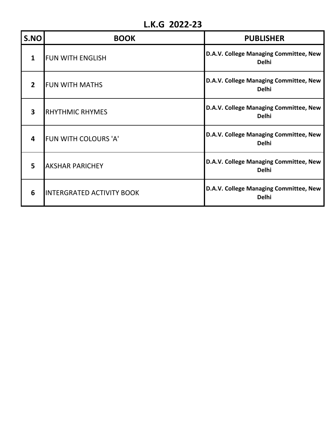## **L.K.G 2022-23**

| S.NO                    | <b>BOOK</b>                      | <b>PUBLISHER</b>                                       |
|-------------------------|----------------------------------|--------------------------------------------------------|
| 1                       | <b>FUN WITH ENGLISH</b>          | D.A.V. College Managing Committee, New<br><b>Delhi</b> |
| $\mathbf{2}$            | <b>FUN WITH MATHS</b>            | D.A.V. College Managing Committee, New<br><b>Delhi</b> |
| $\overline{\mathbf{3}}$ | <b>RHYTHMIC RHYMES</b>           | D.A.V. College Managing Committee, New<br><b>Delhi</b> |
| 4                       | <b>FUN WITH COLOURS 'A'</b>      | D.A.V. College Managing Committee, New<br><b>Delhi</b> |
| 5                       | <b>AKSHAR PARICHEY</b>           | D.A.V. College Managing Committee, New<br><b>Delhi</b> |
| 6                       | <b>INTERGRATED ACTIVITY BOOK</b> | D.A.V. College Managing Committee, New<br><b>Delhi</b> |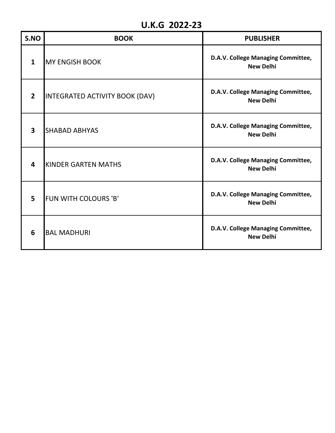## **U.K.G 2022-23**

| S.NO                    | <b>BOOK</b>                    | <b>PUBLISHER</b>                                       |
|-------------------------|--------------------------------|--------------------------------------------------------|
| $\mathbf{1}$            | <b>MY ENGISH BOOK</b>          | D.A.V. College Managing Committee,<br><b>New Delhi</b> |
| $\overline{2}$          | INTEGRATED ACTIVITY BOOK (DAV) | D.A.V. College Managing Committee,<br><b>New Delhi</b> |
| $\overline{\mathbf{3}}$ | <b>SHABAD ABHYAS</b>           | D.A.V. College Managing Committee,<br><b>New Delhi</b> |
| 4                       | <b>KINDER GARTEN MATHS</b>     | D.A.V. College Managing Committee,<br><b>New Delhi</b> |
| 5                       | FUN WITH COLOURS 'B'           | D.A.V. College Managing Committee,<br><b>New Delhi</b> |
| 6                       | <b>BAL MADHURI</b>             | D.A.V. College Managing Committee,<br><b>New Delhi</b> |